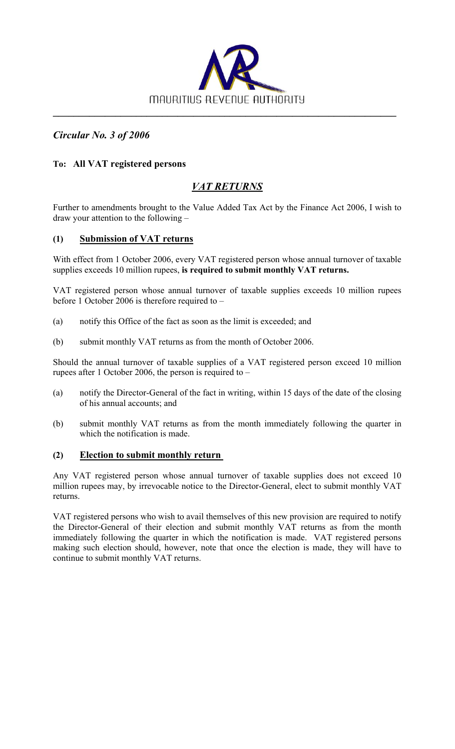

*Circular No. 3 of 2006* 

## **To: All VAT registered persons**

# *VAT RETURNS*

Further to amendments brought to the Value Added Tax Act by the Finance Act 2006, I wish to draw your attention to the following –

## **(1) Submission of VAT returns**

With effect from 1 October 2006, every VAT registered person whose annual turnover of taxable supplies exceeds 10 million rupees, **is required to submit monthly VAT returns.** 

VAT registered person whose annual turnover of taxable supplies exceeds 10 million rupees before 1 October 2006 is therefore required to –

- (a) notify this Office of the fact as soon as the limit is exceeded; and
- (b) submit monthly VAT returns as from the month of October 2006.

Should the annual turnover of taxable supplies of a VAT registered person exceed 10 million rupees after 1 October 2006, the person is required to –

- (a) notify the Director-General of the fact in writing, within 15 days of the date of the closing of his annual accounts; and
- (b) submit monthly VAT returns as from the month immediately following the quarter in which the notification is made.

### **(2) Election to submit monthly return**

Any VAT registered person whose annual turnover of taxable supplies does not exceed 10 million rupees may, by irrevocable notice to the Director-General, elect to submit monthly VAT returns.

VAT registered persons who wish to avail themselves of this new provision are required to notify the Director-General of their election and submit monthly VAT returns as from the month immediately following the quarter in which the notification is made. VAT registered persons making such election should, however, note that once the election is made, they will have to continue to submit monthly VAT returns.